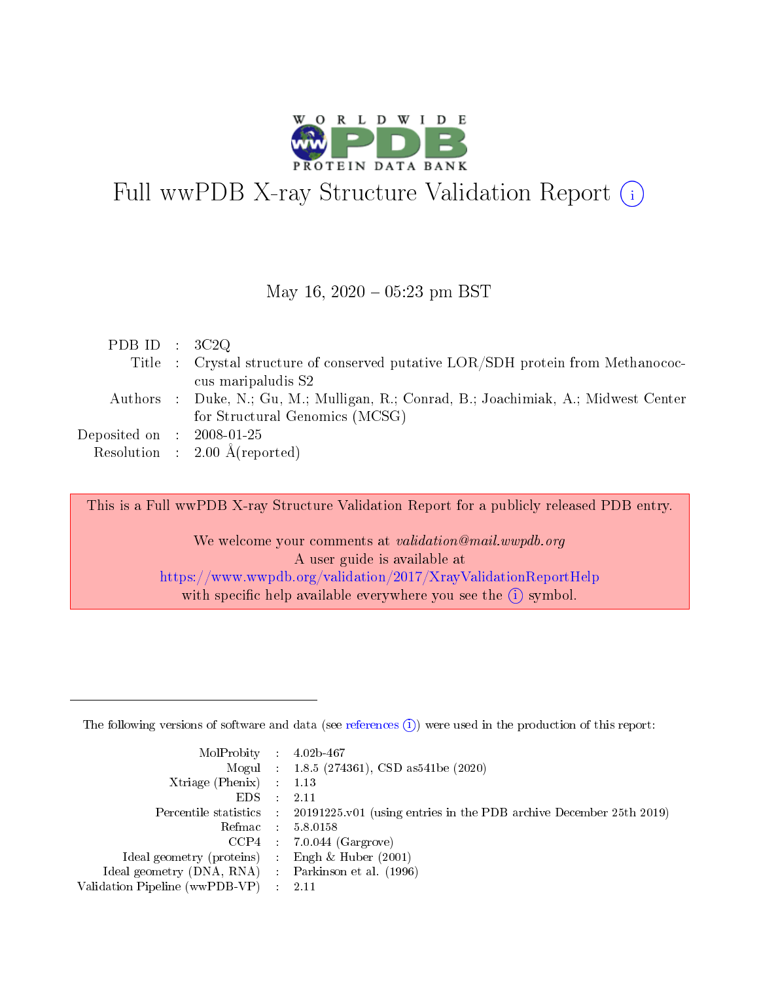

# Full wwPDB X-ray Structure Validation Report  $(i)$

#### May 16,  $2020 - 05:23$  pm BST

| PDB ID : $3C2Q$             |                                                                                      |
|-----------------------------|--------------------------------------------------------------------------------------|
|                             | Title : Crystal structure of conserved putative LOR/SDH protein from Methanococ-     |
|                             | cus maripaludis S2                                                                   |
|                             | Authors : Duke, N.; Gu, M.; Mulligan, R.; Conrad, B.; Joachimiak, A.; Midwest Center |
|                             | for Structural Genomics (MCSG)                                                       |
| Deposited on : $2008-01-25$ |                                                                                      |
|                             | Resolution : $2.00 \text{ Å}$ (reported)                                             |

This is a Full wwPDB X-ray Structure Validation Report for a publicly released PDB entry.

We welcome your comments at validation@mail.wwpdb.org A user guide is available at <https://www.wwpdb.org/validation/2017/XrayValidationReportHelp> with specific help available everywhere you see the  $(i)$  symbol.

The following versions of software and data (see [references](https://www.wwpdb.org/validation/2017/XrayValidationReportHelp#references)  $(1)$ ) were used in the production of this report:

| $MolProbability$ : 4.02b-467                       |               |                                                                                            |
|----------------------------------------------------|---------------|--------------------------------------------------------------------------------------------|
|                                                    |               | Mogul : $1.8.5$ (274361), CSD as 541be (2020)                                              |
| Xtriage (Phenix) $: 1.13$                          |               |                                                                                            |
| EDS.                                               | $\mathcal{L}$ | -2.11                                                                                      |
|                                                    |               | Percentile statistics : 20191225.v01 (using entries in the PDB archive December 25th 2019) |
|                                                    |               | Refmac : 5.8.0158                                                                          |
|                                                    |               | $CCP4$ 7.0.044 (Gargrove)                                                                  |
| Ideal geometry (proteins) : Engh $\&$ Huber (2001) |               |                                                                                            |
| Ideal geometry (DNA, RNA) Parkinson et al. (1996)  |               |                                                                                            |
| Validation Pipeline (wwPDB-VP) : 2.11              |               |                                                                                            |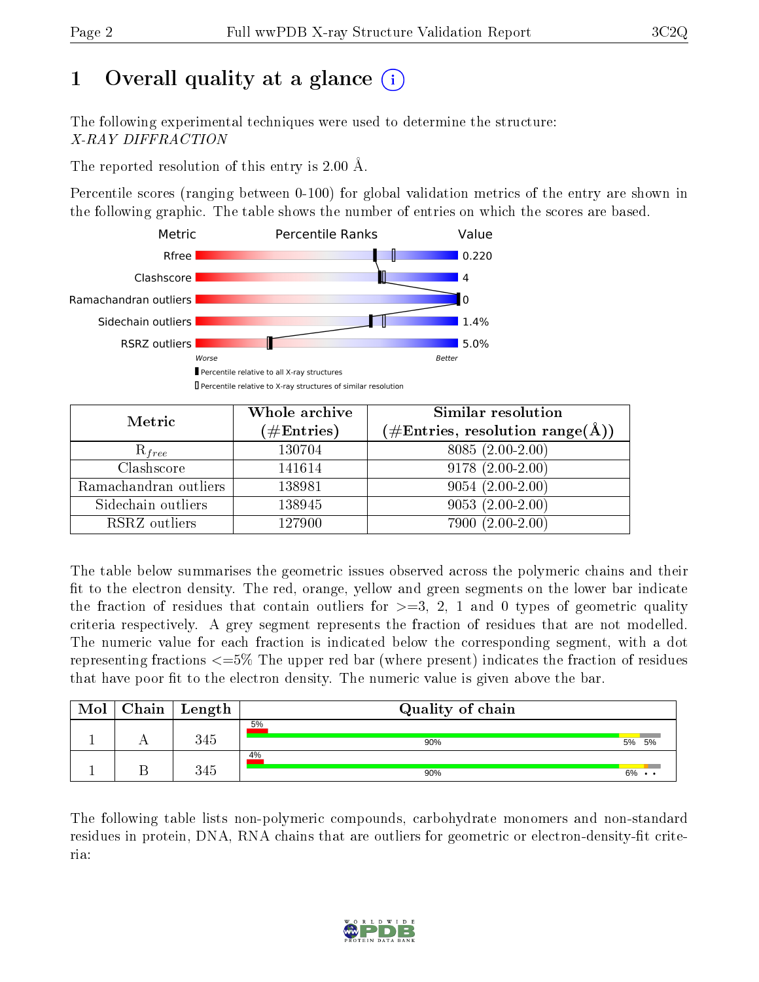# 1 [O](https://www.wwpdb.org/validation/2017/XrayValidationReportHelp#overall_quality)verall quality at a glance (i)

The following experimental techniques were used to determine the structure: X-RAY DIFFRACTION

The reported resolution of this entry is 2.00 Å.

Percentile scores (ranging between 0-100) for global validation metrics of the entry are shown in the following graphic. The table shows the number of entries on which the scores are based.



| Metric                | Whole archive<br>$(\#\text{Entries})$ | Similar resolution<br>$(\#\text{Entries}, \text{resolution range}(\text{\AA}))$ |
|-----------------------|---------------------------------------|---------------------------------------------------------------------------------|
| $R_{free}$            | 130704                                | $8085(2.00-2.00)$                                                               |
| Clashscore            | 141614                                | $9178(2.00-2.00)$                                                               |
| Ramachandran outliers | 138981                                | $9054(2.00-2.00)$                                                               |
| Sidechain outliers    | 138945                                | $9053(2.00-2.00)$                                                               |
| RSRZ outliers         | 127900                                | 7900 (2.00-2.00)                                                                |

The table below summarises the geometric issues observed across the polymeric chains and their fit to the electron density. The red, orange, yellow and green segments on the lower bar indicate the fraction of residues that contain outliers for  $>=3, 2, 1$  and 0 types of geometric quality criteria respectively. A grey segment represents the fraction of residues that are not modelled. The numeric value for each fraction is indicated below the corresponding segment, with a dot representing fractions <=5% The upper red bar (where present) indicates the fraction of residues that have poor fit to the electron density. The numeric value is given above the bar.

| Mol | ${\bf Chain \mid Length}$ | Quality of chain |    |       |
|-----|---------------------------|------------------|----|-------|
|     | 345                       | 5%<br>90%        | 5% | 5%    |
|     | 345                       | 4%<br>90%        |    | $6\%$ |

The following table lists non-polymeric compounds, carbohydrate monomers and non-standard residues in protein, DNA, RNA chains that are outliers for geometric or electron-density-fit criteria:

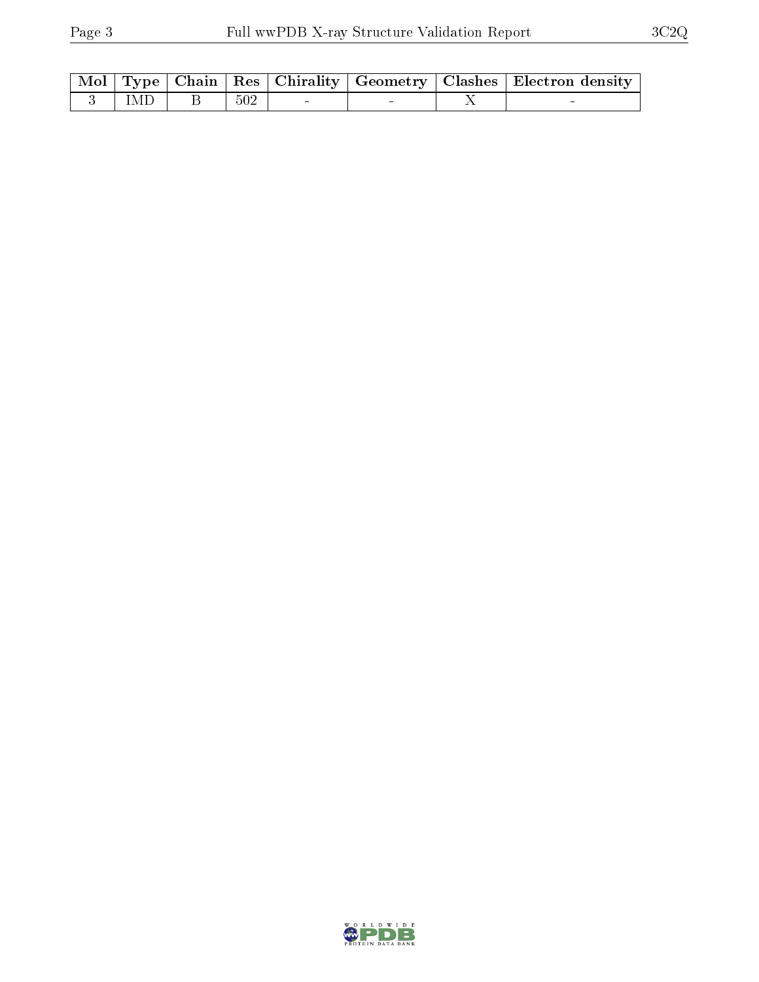|  |               |     |                                       |  | Mol   Type   Chain   Res   Chirality   Geometry   Clashes   Electron density |
|--|---------------|-----|---------------------------------------|--|------------------------------------------------------------------------------|
|  | $3$   IMD   B | 502 | the common community of the community |  |                                                                              |

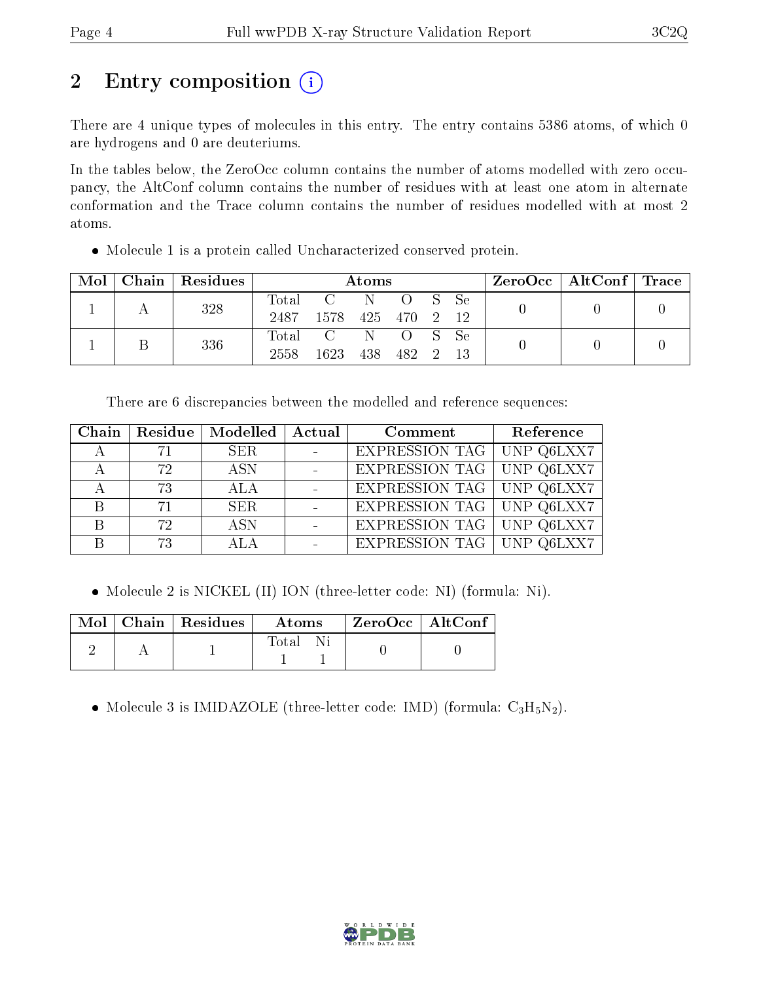# 2 Entry composition  $\left( \cdot \right)$

There are 4 unique types of molecules in this entry. The entry contains 5386 atoms, of which 0 are hydrogens and 0 are deuteriums.

In the tables below, the ZeroOcc column contains the number of atoms modelled with zero occupancy, the AltConf column contains the number of residues with at least one atom in alternate conformation and the Trace column contains the number of residues modelled with at most 2 atoms.

Molecule 1 is a protein called Uncharacterized conserved protein.

| Mol |     | Chain   Residues | Atoms            |              |              |        | $\rm ZeroOcc$   AltConf   Trace |  |  |
|-----|-----|------------------|------------------|--------------|--------------|--------|---------------------------------|--|--|
|     |     | 328              | $\mathrm{Total}$ | $\mathbf{C}$ | - N          | O S Se |                                 |  |  |
|     |     |                  | 2487             | -1578        | 425 470 2 12 |        |                                 |  |  |
|     |     |                  |                  | Total C N    |              | O S Se |                                 |  |  |
|     | 336 |                  | 2558             | 1623         | 438          | 482 2  |                                 |  |  |

There are 6 discrepancies between the modelled and reference sequences:

|     | Chain   Residue   Modelled   Actual |                          | Comment                            | Reference |
|-----|-------------------------------------|--------------------------|------------------------------------|-----------|
| -71 | SER.                                | $\sim 100$ km s $^{-1}$  | <b>EXPRESSION TAG</b> UNP Q6LXX7   |           |
| 72  | <b>ASN</b>                          |                          | EXPRESSION TAG UNP Q6LXX7          |           |
| 73  | -ALA                                | $\sim 10^{11}$ m $^{-1}$ | <b>EXPRESSION TAG   UNP Q6LXX7</b> |           |
| 71  | SER.                                |                          | <b>EXPRESSION TAG</b> UNP Q6LXX7   |           |
| 72. | <b>ASN</b>                          |                          | EXPRESSION TAG UNP Q6LXX7          |           |
| 73  | ALA                                 | $\overline{\phantom{0}}$ | <b>EXPRESSION TAG UNP Q6LXX7</b>   |           |

• Molecule 2 is NICKEL (II) ION (three-letter code: NI) (formula: Ni).

|  | $\overline{\text{Mol}}$ Chain   Residues | Atoms | ZeroOcc   AltConf |  |
|--|------------------------------------------|-------|-------------------|--|
|  |                                          | Total |                   |  |

• Molecule 3 is IMIDAZOLE (three-letter code: IMD) (formula:  $C_3H_5N_2$ ).

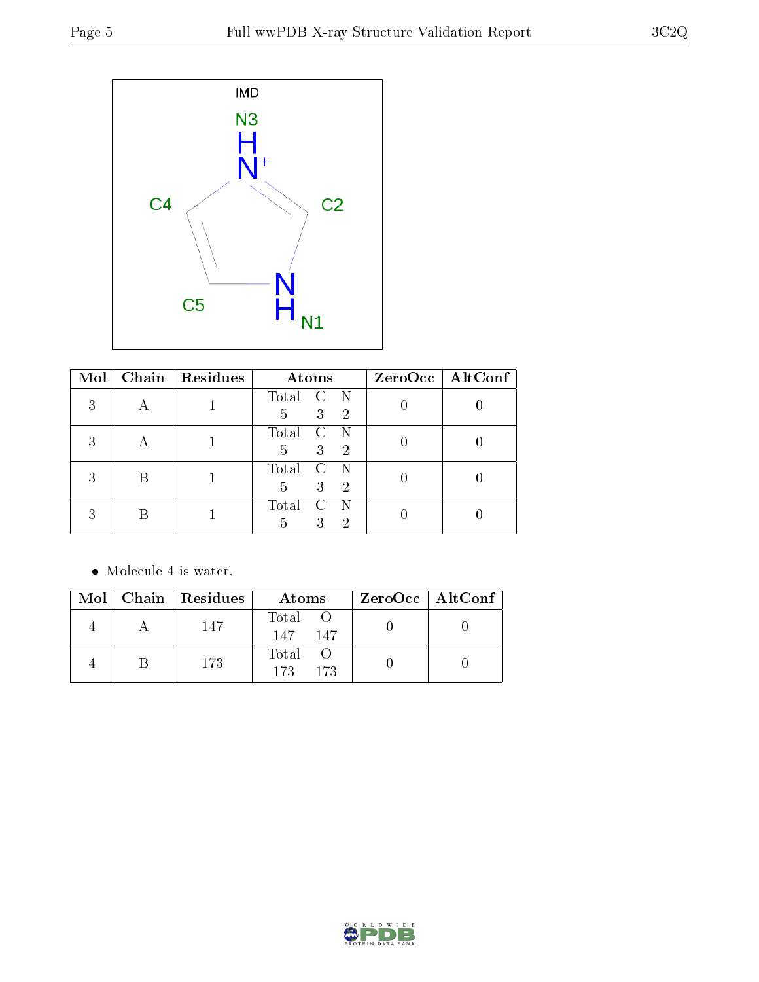

| Mol |   | Chain   $Residues$ | Atoms                                                                                    | $ZeroOcc$   AltConf |
|-----|---|--------------------|------------------------------------------------------------------------------------------|---------------------|
| 9   |   |                    | Total C<br>$\mathbb N$<br>3 <sup>2</sup><br>$\overline{\phantom{1}}^2$<br>$\overline{5}$ |                     |
| ົ   |   |                    | Total<br>$\mathbf{C}$<br>3<br>$\overline{\phantom{0}}^2$<br>5                            |                     |
|     | B |                    | Total<br>$\mathbf{C}$<br>3<br>$\overline{\phantom{1}}^2$<br>5                            |                     |
|     |   |                    | Total<br>C<br>3<br>2<br>5                                                                |                     |

 $\bullet\,$  Molecule 4 is water.

|  | $\text{Mol}$   Chain   Residues | Atoms                   | ZeroOcc   AltConf |
|--|---------------------------------|-------------------------|-------------------|
|  | 147                             | Total O<br>147<br>147   |                   |
|  | 173                             | Total O<br>173<br>- 173 |                   |

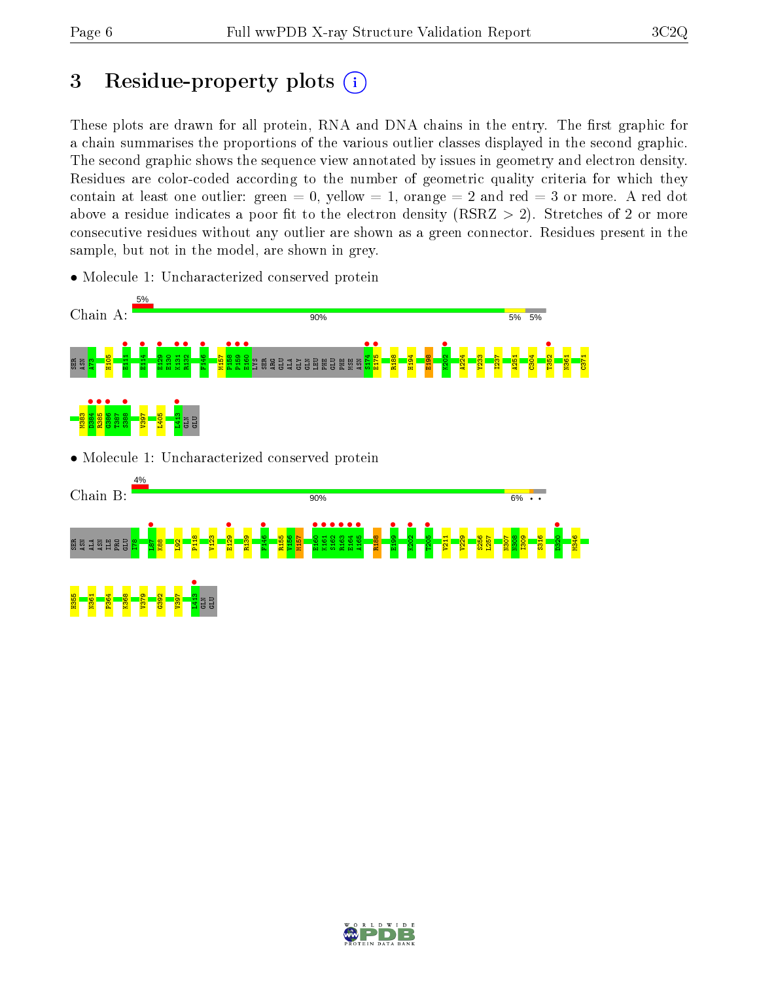# 3 Residue-property plots  $(i)$

These plots are drawn for all protein, RNA and DNA chains in the entry. The first graphic for a chain summarises the proportions of the various outlier classes displayed in the second graphic. The second graphic shows the sequence view annotated by issues in geometry and electron density. Residues are color-coded according to the number of geometric quality criteria for which they contain at least one outlier: green  $= 0$ , yellow  $= 1$ , orange  $= 2$  and red  $= 3$  or more. A red dot above a residue indicates a poor fit to the electron density (RSRZ  $> 2$ ). Stretches of 2 or more consecutive residues without any outlier are shown as a green connector. Residues present in the sample, but not in the model, are shown in grey.

• Molecule 1: Uncharacterized conserved protein





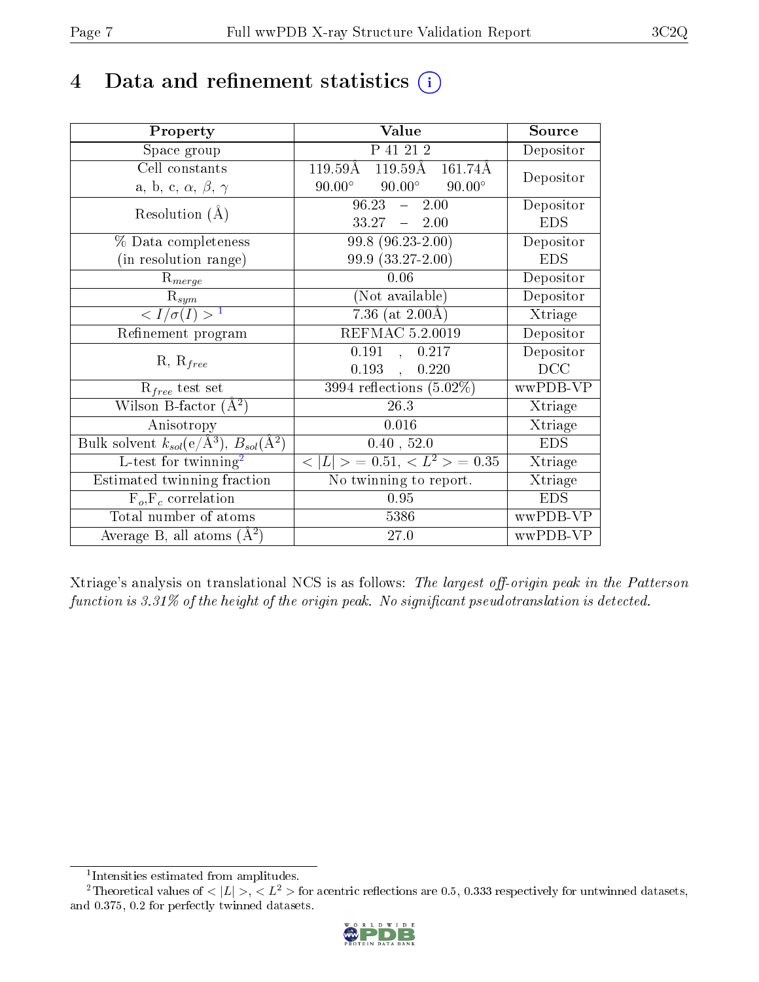## 4 Data and refinement statistics  $(i)$

| Property                                                                | Value                                             | Source     |
|-------------------------------------------------------------------------|---------------------------------------------------|------------|
| Space group                                                             | P 41 21 2                                         | Depositor  |
| Cell constants                                                          | 119.59Å 119.59Å<br>$161.74\text{\AA}$             | Depositor  |
| a, b, c, $\alpha$ , $\beta$ , $\gamma$                                  | $90.00^{\circ}$<br>$90.00^\circ$<br>$90.00^\circ$ |            |
| Resolution $(A)$                                                        | 96.23<br>2.00<br>$\frac{1}{2}$                    | Depositor  |
|                                                                         | $33.27 - 2.00$                                    | <b>EDS</b> |
| % Data completeness                                                     | 99.8 (96.23-2.00)                                 | Depositor  |
| (in resolution range)                                                   | 99.9 (33.27-2.00)                                 | <b>EDS</b> |
| $R_{merge}$                                                             | 0.06                                              | Depositor  |
| $\mathrm{R}_{sym}$                                                      | (Not available)                                   | Depositor  |
| $\langle I/\sigma(I) \rangle^{-1}$                                      | $7.36$ (at $2.00\text{\AA}$ )                     | Xtriage    |
| Refinement program                                                      | REFMAC 5.2.0019                                   | Depositor  |
|                                                                         | 0.191<br>, 0.217                                  | Depositor  |
| $R, R_{free}$                                                           | 0.193<br>0.220                                    | DCC        |
| $R_{free}$ test set                                                     | $\overline{3994}$ reflections $(5.02\%)$          | wwPDB-VP   |
| Wilson B-factor $(A^2)$                                                 | 26.3                                              | Xtriage    |
| Anisotropy                                                              | 0.016                                             | Xtriage    |
| Bulk solvent $k_{sol}(\mathrm{e}/\mathrm{A}^3),\,B_{sol}(\mathrm{A}^2)$ | 0.40, 52.0                                        | <b>EDS</b> |
| L-test for twinning <sup>2</sup>                                        | $< L >$ = 0.51, $< L^2 >$ = 0.35                  | Xtriage    |
| Estimated twinning fraction                                             | No twinning to report.                            | Xtriage    |
| $\overline{F_o, F_c}$ correlation                                       | 0.95                                              | <b>EDS</b> |
| Total number of atoms                                                   | 5386                                              | wwPDB-VP   |
| Average B, all atoms $(A^2)$                                            | 27.0                                              | wwPDB-VP   |

Xtriage's analysis on translational NCS is as follows: The largest off-origin peak in the Patterson function is  $3.31\%$  of the height of the origin peak. No significant pseudotranslation is detected.

<sup>&</sup>lt;sup>2</sup>Theoretical values of  $\langle |L| \rangle$ ,  $\langle L^2 \rangle$  for acentric reflections are 0.5, 0.333 respectively for untwinned datasets, and 0.375, 0.2 for perfectly twinned datasets.



<span id="page-6-1"></span><span id="page-6-0"></span><sup>1</sup> Intensities estimated from amplitudes.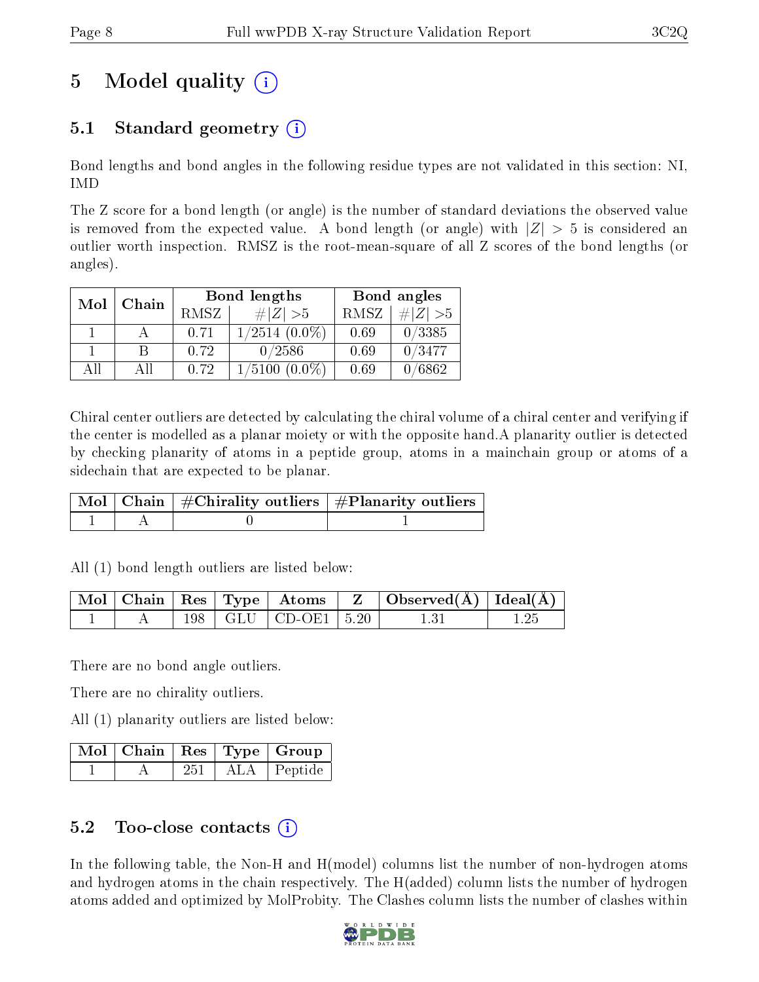# 5 Model quality  $(i)$

## 5.1 Standard geometry  $(i)$

Bond lengths and bond angles in the following residue types are not validated in this section: NI, IMD

The Z score for a bond length (or angle) is the number of standard deviations the observed value is removed from the expected value. A bond length (or angle) with  $|Z| > 5$  is considered an outlier worth inspection. RMSZ is the root-mean-square of all Z scores of the bond lengths (or angles).

| Mol | Chain |             | <b>Bond lengths</b> | Bond angles |           |  |
|-----|-------|-------------|---------------------|-------------|-----------|--|
|     |       | <b>RMSZ</b> | $\# Z  > 5$         | RMSZ        | # $ Z >5$ |  |
|     |       | 0.71        | $1/2514$ $(0.0\%)$  | 0.69        | 0/3385    |  |
|     | В     | 0.72        | 0/2586              | 0.69        | 0/3477    |  |
| АĦ  | Αll   | 0.72        | 1/5100<br>$(0.0\%)$ | 0.69        | /6862     |  |

Chiral center outliers are detected by calculating the chiral volume of a chiral center and verifying if the center is modelled as a planar moiety or with the opposite hand.A planarity outlier is detected by checking planarity of atoms in a peptide group, atoms in a mainchain group or atoms of a sidechain that are expected to be planar.

|  | Mol   Chain   $\#\text{Chirality outliers}$   $\#\text{Planarity outliers}$ ' |
|--|-------------------------------------------------------------------------------|
|  |                                                                               |

All (1) bond length outliers are listed below:

|  |  |                             | $\mid$ Mol $\mid$ Chain $\mid$ Res $\mid$ Type $\mid$ Atoms $\mid$ Z $\mid$ Observed(Å) $\mid$ Ideal(Å) $\mid$ |  |
|--|--|-----------------------------|----------------------------------------------------------------------------------------------------------------|--|
|  |  | $198$   GLU   CD-OE1   5.20 | -1-31                                                                                                          |  |

There are no bond angle outliers.

There are no chirality outliers.

All (1) planarity outliers are listed below:

|  |     | Mol   Chain   Res   Type   Group |
|--|-----|----------------------------------|
|  | 251 | ALA Peptide                      |

### 5.2 Too-close contacts (i)

In the following table, the Non-H and H(model) columns list the number of non-hydrogen atoms and hydrogen atoms in the chain respectively. The H(added) column lists the number of hydrogen atoms added and optimized by MolProbity. The Clashes column lists the number of clashes within

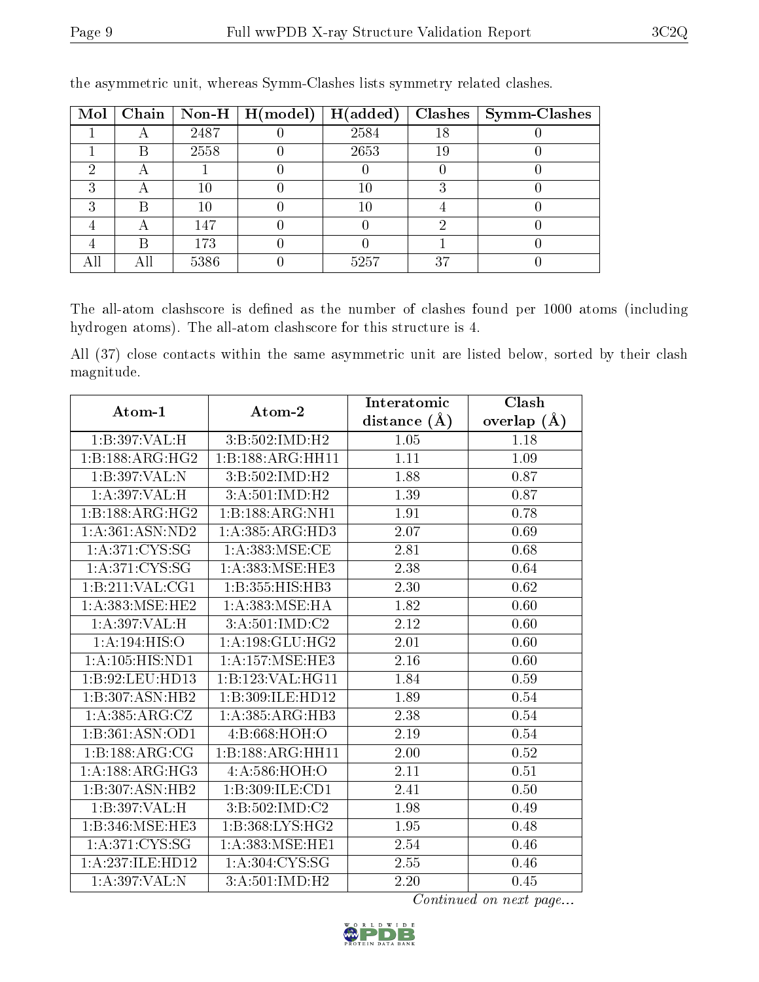| Mol |   |      | Chain   Non-H   $H (model)$ | H(added) |    | $Clashes$   Symm-Clashes |
|-----|---|------|-----------------------------|----------|----|--------------------------|
|     |   | 2487 |                             | 2584     | 18 |                          |
|     |   | 2558 |                             | 2653     | 19 |                          |
|     |   |      |                             |          |    |                          |
|     |   |      |                             | 10       |    |                          |
|     |   |      |                             | 10       |    |                          |
|     |   | 147  |                             |          |    |                          |
|     | R | 173  |                             |          |    |                          |
|     |   | 5386 |                             | 5257     | 37 |                          |

the asymmetric unit, whereas Symm-Clashes lists symmetry related clashes.

The all-atom clashscore is defined as the number of clashes found per 1000 atoms (including hydrogen atoms). The all-atom clashscore for this structure is 4.

All (37) close contacts within the same asymmetric unit are listed below, sorted by their clash magnitude.

| Atom-1                              | Atom-2                                | Interatomic      | Clash         |
|-------------------------------------|---------------------------------------|------------------|---------------|
|                                     |                                       | distance $(\AA)$ | overlap $(A)$ |
| 1:B:397:VAL:H                       | 3:B:502:IMD:H2                        | 1.05             | 1.18          |
| 1: B: 188: ARG: HG2                 | 1:B:188:ARG:HH11                      | 1.11             | 1.09          |
| 1:B:397:VAL:N                       | 3: B: 502: IMD: H2                    | 1.88             | 0.87          |
| 1:A:397:VAL:H                       | 3:A:501:IMD:H2                        | 1.39             | 0.87          |
| 1: B: 188: ARG: HG2                 | 1:B:188:ARG:NH1                       | 1.91             | 0.78          |
| 1:A:361:ASN:ND2                     | $1:A:385:A\overline{\mathrm{RG:HD3}}$ | 2.07             | 0.69          |
| 1: A:371: CYS:SG                    | 1: A:383:MSE:CE                       | 2.81             | 0.68          |
| 1: A:371: CYS:SG                    | 1:A:383:MSE:HE3                       | 2.38             | 0.64          |
| 1:B:211:VAL:CG1                     | 1:B:355:HIS:HB3                       | 2.30             | 0.62          |
| 1: A:383:MSE:HE2                    | 1: A: 383: MSE: HA                    | 1.82             | 0.60          |
| 1:A:397:VAL:H                       | 3: A:501:IMD: C2                      | 2.12             | 0.60          |
| 1:A:194:HIS:O                       | 1: A: 198: GLU: HG2                   | 2.01             | 0.60          |
| $1:A:105:\overline{HIS:ND1}$        | 1: A:157: MSE: HE3                    | 2.16             | 0.60          |
| 1:B:92:LEU:HD13                     | 1:B:123:VAL:HG11                      | 1.84             | 0.59          |
| 1:B:307:ASN:HB2                     | 1:B:309:ILE:HD12                      | 1.89             | 0.54          |
| 1: A: 385: ARG: CZ                  | 1:A:385:ARG:HB3                       | 2.38             | 0.54          |
| 1:B:361:ASN:OD1                     | 4: B:668: HOH:O                       | 2.19             | 0.54          |
| 1:B:188:ARG:CG                      | 1:B:188:ARG:HH11                      | 2.00             | 0.52          |
| 1: A: 188: ARG: HG3                 | 4:A:586:HOH:O                         | 2.11             | 0.51          |
| $1:B:307:AS\overline{N:HB2}$        | 1:B:309:ILE:CD1                       | 2.41             | 0.50          |
| 1:B:397:VAL:H                       | 3:B:502:IMD:C2                        | 1.98             | 0.49          |
| $1:B:346:\overline{\text{MSE:HE3}}$ | 1:B:368:LYS:HG2                       | 1.95             | 0.48          |
| 1:A:371:CYS:SG                      | 1: A: 383: MSE: HE1                   | 2.54             | 0.46          |
| 1:A:237:ILE:HD12                    | 1: A:304: CYS:SG                      | 2.55             | 0.46          |
| 1:A:397:VAL:N                       | $3:A:501:IMD:\overline{H2}$           | 2.20             | 0.45          |

Continued on next page...

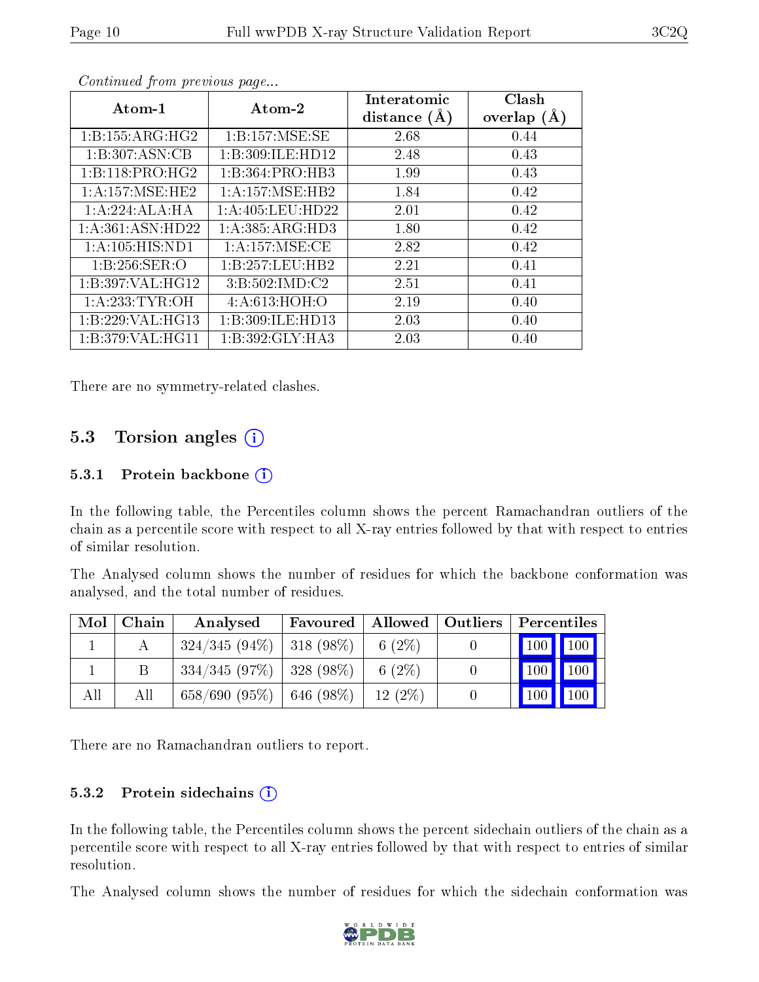| Atom-1              | Atom-2               | Interatomic<br>distance $(A)$ | Clash<br>overlap $(A)$ |
|---------------------|----------------------|-------------------------------|------------------------|
| 1:B:155:ARG:HG2     | 1:B:157:MSE:SE       | 2.68                          | 0.44                   |
| 1:B:307:ASN:CB      | 1:B:309:ILE:HD12     | 2.48                          | 0.43                   |
| 1:B:118:PRO:HG2     | 1:B:364:PRO:HB3      | 1.99                          | 0.43                   |
| 1: A: 157: MSE: HE2 | 1:A:157:MSE:HB2      | 1.84                          | 0.42                   |
| 1:A:224:ALA:HA      | 1: A: 405: LEU: HD22 | 2.01                          | 0.42                   |
| 1:A:361:ASN:HD22    | 1: A: 385: ARG: HD3  | 1.80                          | 0.42                   |
| 1:A:105:HIS:ND1     | 1:A:157:MSE:CE       | 2.82                          | 0.42                   |
| 1:B:256:SER:O       | 1:B:257:LEU:HB2      | 2.21                          | 0.41                   |
| 1:B:397:VAL:HG12    | 3:B:502:IMD:C2       | 2.51                          | 0.41                   |
| 1: A:233: TYR:OH    | 4: A:613: HOH:O      | 2.19                          | 0.40                   |
| 1:B:229:VAL:HG13    | 1:B:309:ILE:HD13     | 2.03                          | 0.40                   |
| 1:B:379:VAL:HG11    | 1:B:392:GLY:HA3      | 2.03                          | 0.40                   |

Continued from previous page...

There are no symmetry-related clashes.

### 5.3 Torsion angles  $(i)$

#### 5.3.1 Protein backbone  $(i)$

In the following table, the Percentiles column shows the percent Ramachandran outliers of the chain as a percentile score with respect to all X-ray entries followed by that with respect to entries of similar resolution.

The Analysed column shows the number of residues for which the backbone conformation was analysed, and the total number of residues.

| Mol | Chain | Favoured   Allowed   Outliers<br>Analysed |  | $\mid$ Percentiles $\mid$ |                                 |
|-----|-------|-------------------------------------------|--|---------------------------|---------------------------------|
|     |       | $324/345 (94\%)$   318 (98\%)   6 (2\%)   |  |                           |                                 |
|     |       | $334/345$ (97\%)   328 (98\%)             |  | 6 $(2\%)$                 | $\vert$ 100   100   $\vert$     |
| All | All   | $658/690$ (95%)   646 (98%)               |  | 12(2%)                    | $\vert$ 100 $\vert$ 100 $\vert$ |

There are no Ramachandran outliers to report.

#### 5.3.2 Protein sidechains  $(i)$

In the following table, the Percentiles column shows the percent sidechain outliers of the chain as a percentile score with respect to all X-ray entries followed by that with respect to entries of similar resolution.

The Analysed column shows the number of residues for which the sidechain conformation was

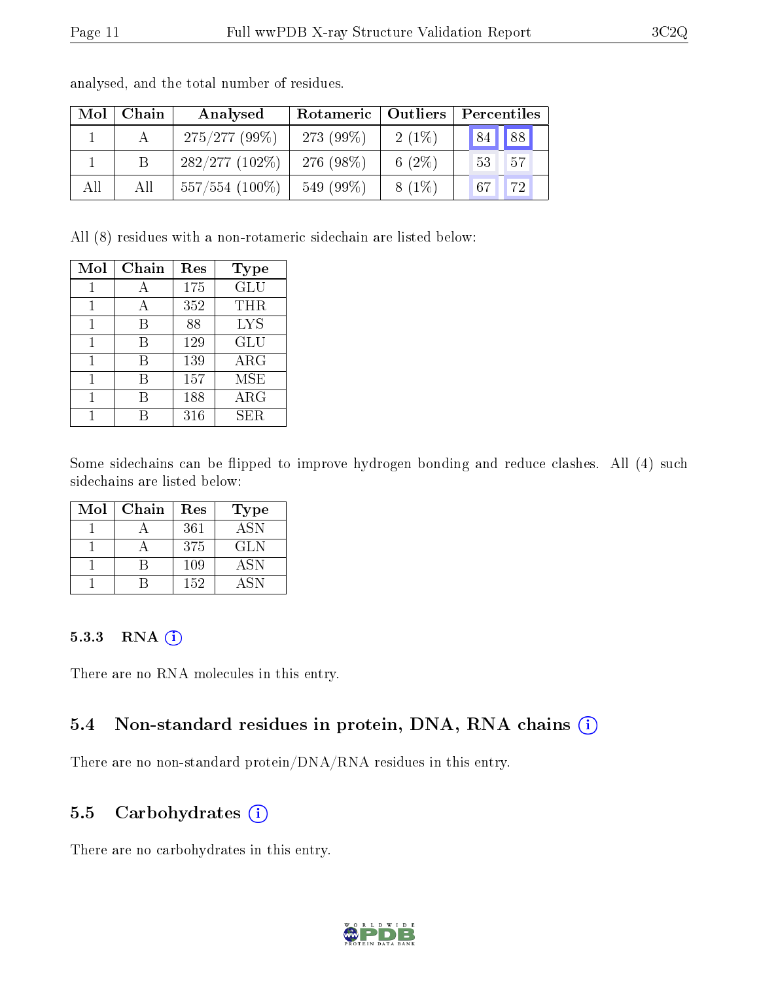| Mol | Chain | Analysed         | Rotameric   Outliers |           | Percentiles           |  |  |
|-----|-------|------------------|----------------------|-----------|-----------------------|--|--|
|     |       | $275/277(99\%)$  | 273 (99%)            | $2(1\%)$  | 88<br>84              |  |  |
|     |       | 282/277(102%)    | 276 (98%)            | 6 $(2\%)$ | 57<br>53              |  |  |
| All | All   | $557/554$ (100%) | 549 (99%)            | $8(1\%)$  | 72 <sub>1</sub><br>67 |  |  |

analysed, and the total number of residues.

All (8) residues with a non-rotameric sidechain are listed below:

| Mol | Chain | Res | Type       |
|-----|-------|-----|------------|
|     |       | 175 | GLU        |
|     | А     | 352 | THR        |
| 1   | В     | 88  | <b>LYS</b> |
| 1   | В     | 129 | GLU        |
|     | В     | 139 | $\rm{ARG}$ |
|     | R     | 157 | <b>MSE</b> |
|     |       | 188 | ARG        |
|     |       | 316 | SER.       |

Some sidechains can be flipped to improve hydrogen bonding and reduce clashes. All (4) such sidechains are listed below:

| Mol | Chain | Res | <b>Type</b> |
|-----|-------|-----|-------------|
|     |       | 361 | <b>ASN</b>  |
|     |       | 375 | GLN         |
|     |       | 109 | <b>ASN</b>  |
|     |       | 152 | A SN        |

#### 5.3.3 RNA [O](https://www.wwpdb.org/validation/2017/XrayValidationReportHelp#rna)i

There are no RNA molecules in this entry.

### 5.4 Non-standard residues in protein, DNA, RNA chains (i)

There are no non-standard protein/DNA/RNA residues in this entry.

#### 5.5 Carbohydrates  $(i)$

There are no carbohydrates in this entry.

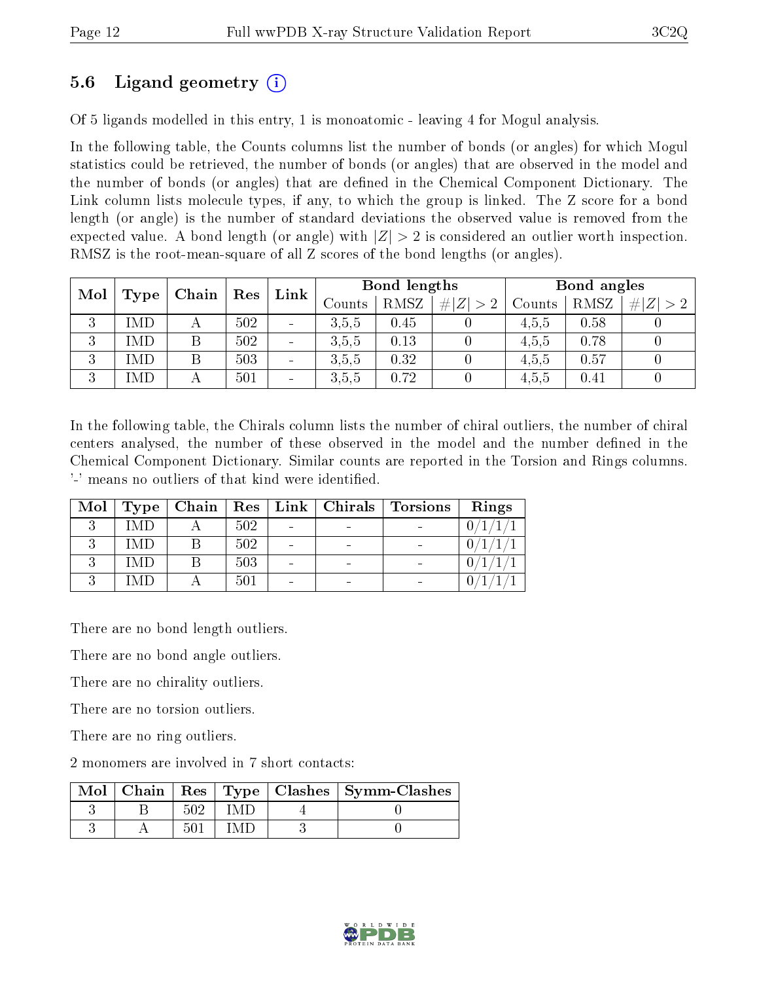### 5.6 Ligand geometry (i)

Of 5 ligands modelled in this entry, 1 is monoatomic - leaving 4 for Mogul analysis.

In the following table, the Counts columns list the number of bonds (or angles) for which Mogul statistics could be retrieved, the number of bonds (or angles) that are observed in the model and the number of bonds (or angles) that are dened in the Chemical Component Dictionary. The Link column lists molecule types, if any, to which the group is linked. The Z score for a bond length (or angle) is the number of standard deviations the observed value is removed from the expected value. A bond length (or angle) with  $|Z| > 2$  is considered an outlier worth inspection. RMSZ is the root-mean-square of all Z scores of the bond lengths (or angles).

| Mol<br>Type |            |   |     |                          |        |             |             |        | Chain |     | $\operatorname{Res}$ | Link | Bond lengths |  |  | Bond angles |  |  |
|-------------|------------|---|-----|--------------------------|--------|-------------|-------------|--------|-------|-----|----------------------|------|--------------|--|--|-------------|--|--|
|             |            |   |     |                          | Counts | <b>RMSZ</b> | # $ Z  > 2$ | Counts | RMSZ  | H Z |                      |      |              |  |  |             |  |  |
| 3           | MD         |   | 502 | $\blacksquare$           | 3.5,5  | 0.45        |             | 4,5,5  | 0.58  |     |                      |      |              |  |  |             |  |  |
| 3           | 'MD        | Β | 502 | $\sim$                   | 3.5,5  | 0.13        |             | 4.5.5  | 0.78  |     |                      |      |              |  |  |             |  |  |
| 3           | MD         | Β | 503 | $\overline{\phantom{a}}$ | 3.5,5  | 0.32        |             | 4,5,5  | 0.57  |     |                      |      |              |  |  |             |  |  |
| 3           | <b>IMD</b> |   | 501 | $\sim$                   | 3.5.5  | 0.72        |             | 4.5.5  | 0.41  |     |                      |      |              |  |  |             |  |  |

In the following table, the Chirals column lists the number of chiral outliers, the number of chiral centers analysed, the number of these observed in the model and the number defined in the Chemical Component Dictionary. Similar counts are reported in the Torsion and Rings columns. '-' means no outliers of that kind were identified.

| Mol | Type | $\mid$ Chain $\mid$ |     | Res   Link   Chirals | <b>Torsions</b> | Rings |
|-----|------|---------------------|-----|----------------------|-----------------|-------|
|     | (MD) |                     | 502 |                      |                 |       |
|     | IMD  |                     | 502 | -                    |                 |       |
|     | IMD  |                     | 503 | -                    |                 |       |
|     | -MD  |                     | 501 | -                    |                 |       |

There are no bond length outliers.

There are no bond angle outliers.

There are no chirality outliers.

There are no torsion outliers.

There are no ring outliers.

2 monomers are involved in 7 short contacts:

| $Mol$   Chain |  | Res   Type   Clashes   Symm-Clashes |
|---------------|--|-------------------------------------|
|               |  |                                     |
|               |  |                                     |

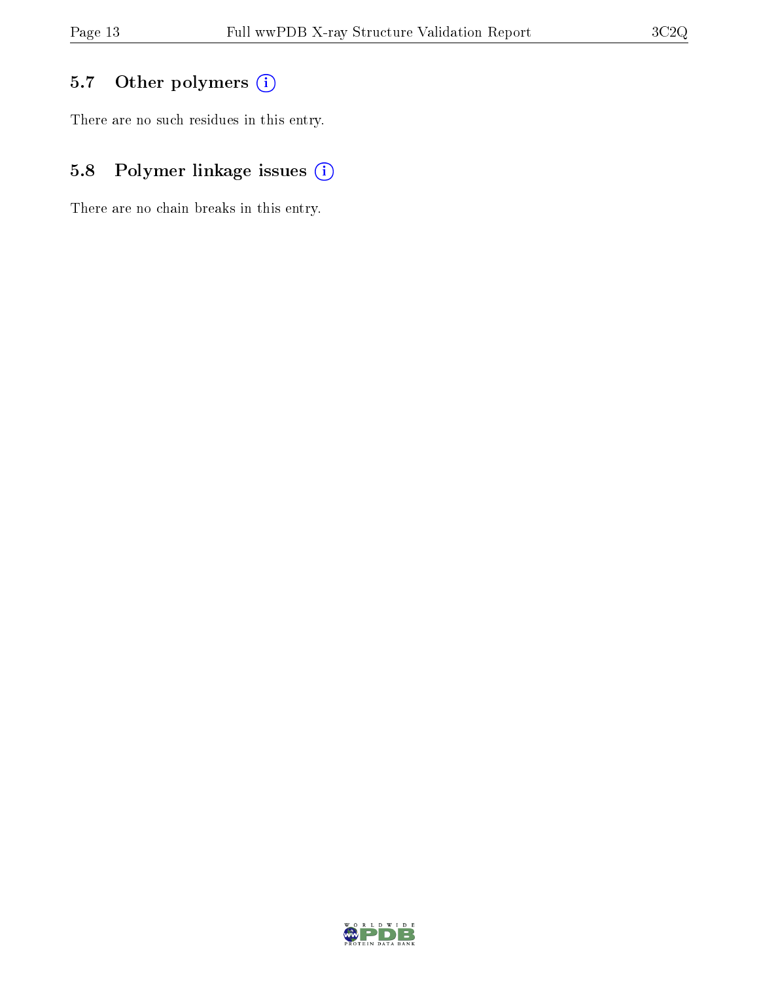## 5.7 [O](https://www.wwpdb.org/validation/2017/XrayValidationReportHelp#nonstandard_residues_and_ligands)ther polymers (i)

There are no such residues in this entry.

## 5.8 Polymer linkage issues (i)

There are no chain breaks in this entry.

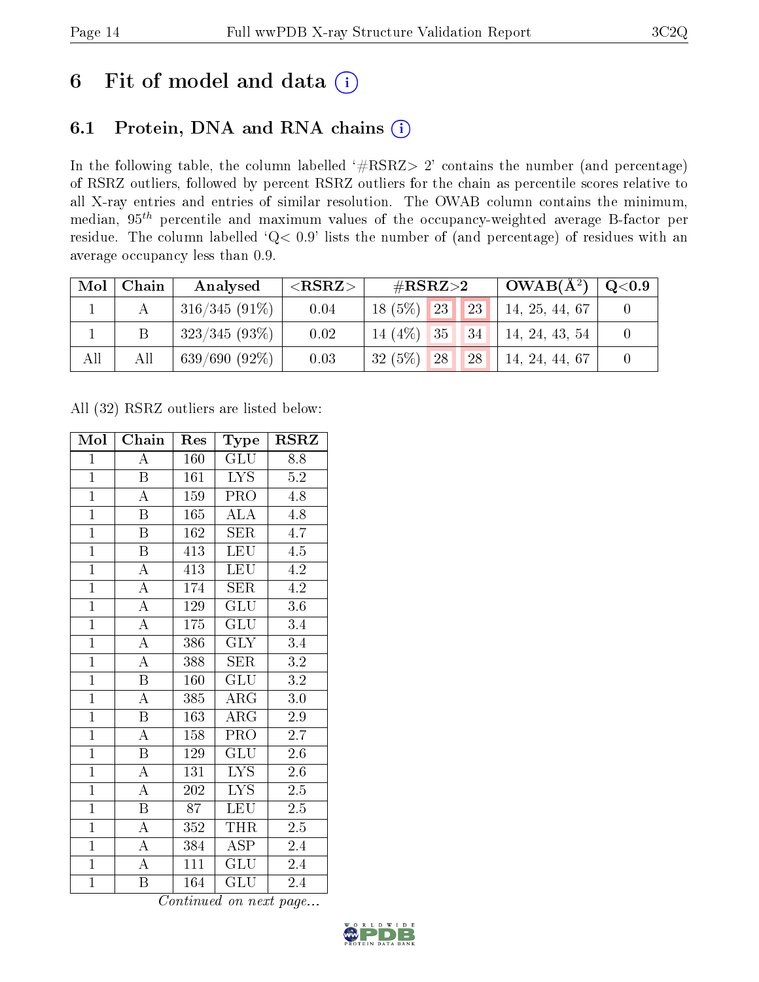# 6 Fit of model and data  $(i)$

## 6.1 Protein, DNA and RNA chains  $(i)$

In the following table, the column labelled  $#RSRZ> 2'$  contains the number (and percentage) of RSRZ outliers, followed by percent RSRZ outliers for the chain as percentile scores relative to all X-ray entries and entries of similar resolution. The OWAB column contains the minimum, median,  $95<sup>th</sup>$  percentile and maximum values of the occupancy-weighted average B-factor per residue. The column labelled ' $Q< 0.9$ ' lists the number of (and percentage) of residues with an average occupancy less than 0.9.

| Mol | Chain | Analysed        | ${ <\hspace{-1.5pt}{\mathrm{RSRZ}} \hspace{-1.5pt}>}$ | # $RSRZ>2$                | $\mid$ OWAB( $\rm A^2)$ | $\rm{Q}\textcolor{black}{<}0.9$ |
|-----|-------|-----------------|-------------------------------------------------------|---------------------------|-------------------------|---------------------------------|
|     |       | $316/345(91\%)$ | 0.04                                                  | $18(5\%)$ 23<br> 23       | 14, 25, 44, 67          |                                 |
|     |       | $323/345(93\%)$ | 0.02                                                  | $14(4\%)$ 35 34           | 14, 24, 43, 54          |                                 |
| All | All   | $639/690(92\%)$ | 0.03                                                  | 32(5%)<br><b>28</b><br>28 | 14, 24, 44, 67          |                                 |

All (32) RSRZ outliers are listed below:

| Mol            | Chain                   | Res | Type                      | <b>RSRZ</b>      |
|----------------|-------------------------|-----|---------------------------|------------------|
| $\mathbf{1}$   | $\overline{A}$          | 160 | GLU                       | 8.8              |
| $\mathbf{1}$   | $\boldsymbol{B}$        | 161 | <b>LYS</b>                | $5.2\,$          |
| $\overline{1}$ | $\overline{\rm A}$      | 159 | PRO                       | 4.8              |
| $\mathbf{1}$   | $\boldsymbol{B}$        | 165 | ALA                       | 4.8              |
| $\overline{1}$ | $\overline{\mathrm{B}}$ | 162 | $\overline{\text{SER}}$   | $\overline{4.7}$ |
| $\overline{1}$ | $\boldsymbol{B}$        | 413 | LEU                       | 4.5              |
| $\overline{1}$ | $\overline{\rm A}$      | 413 | <b>LEU</b>                | 4.2              |
| $\overline{1}$ | $\overline{\rm A}$      | 174 | SER                       | 4.2              |
| $\overline{1}$ | $\overline{\rm A}$      | 129 | GLU                       | 3.6              |
| $\overline{1}$ | $\overline{\rm A}$      | 175 | $\overline{{\rm GLU}}$    | $\overline{3.4}$ |
| $\overline{1}$ | $\overline{\rm A}$      | 386 | $\overline{\text{GLY}}$   | $\overline{3.4}$ |
| $\overline{1}$ | $\overline{\rm A}$      | 388 | $\overline{\text{SER}}$   | $\overline{3.2}$ |
| $\overline{1}$ | $\overline{\mathrm{B}}$ | 160 | GLU                       | $3.2\,$          |
| $\overline{1}$ | $\overline{\rm A}$      | 385 | $\rm{ARG}$                | $3.0\,$          |
| $\overline{1}$ | $\overline{\mathrm{B}}$ | 163 | $\overline{\text{ARG}}$   | $\overline{2.9}$ |
| $\overline{1}$ | $\overline{\rm A}$      | 158 | PRO                       | $\overline{2.7}$ |
| $\overline{1}$ | $\overline{\mathrm{B}}$ | 129 | $\overline{\mathrm{GLU}}$ | $\overline{2.6}$ |
| $\overline{1}$ | $\boldsymbol{A}$        | 131 | <b>LYS</b>                | 2.6              |
| $\overline{1}$ | $\boldsymbol{A}$        | 202 | <b>LYS</b>                | $2.5\,$          |
| $\overline{1}$ | $\overline{\mathbf{B}}$ | 87  | LEU                       | 2.5              |
| $\mathbf{1}$   | $\boldsymbol{A}$        | 352 | <b>THR</b>                | $2.\overline{5}$ |
| $\overline{1}$ | $\overline{\rm A}$      | 384 | $\overline{\rm ASP}$      | 2.4              |
| $\mathbf{1}$   | $\overline{\rm A}$      | 111 | GLU                       | 2.4              |
| $\overline{1}$ | Β                       | 164 | $\overline{{\rm GLU}}$    | 2.4              |

Continued on next page...